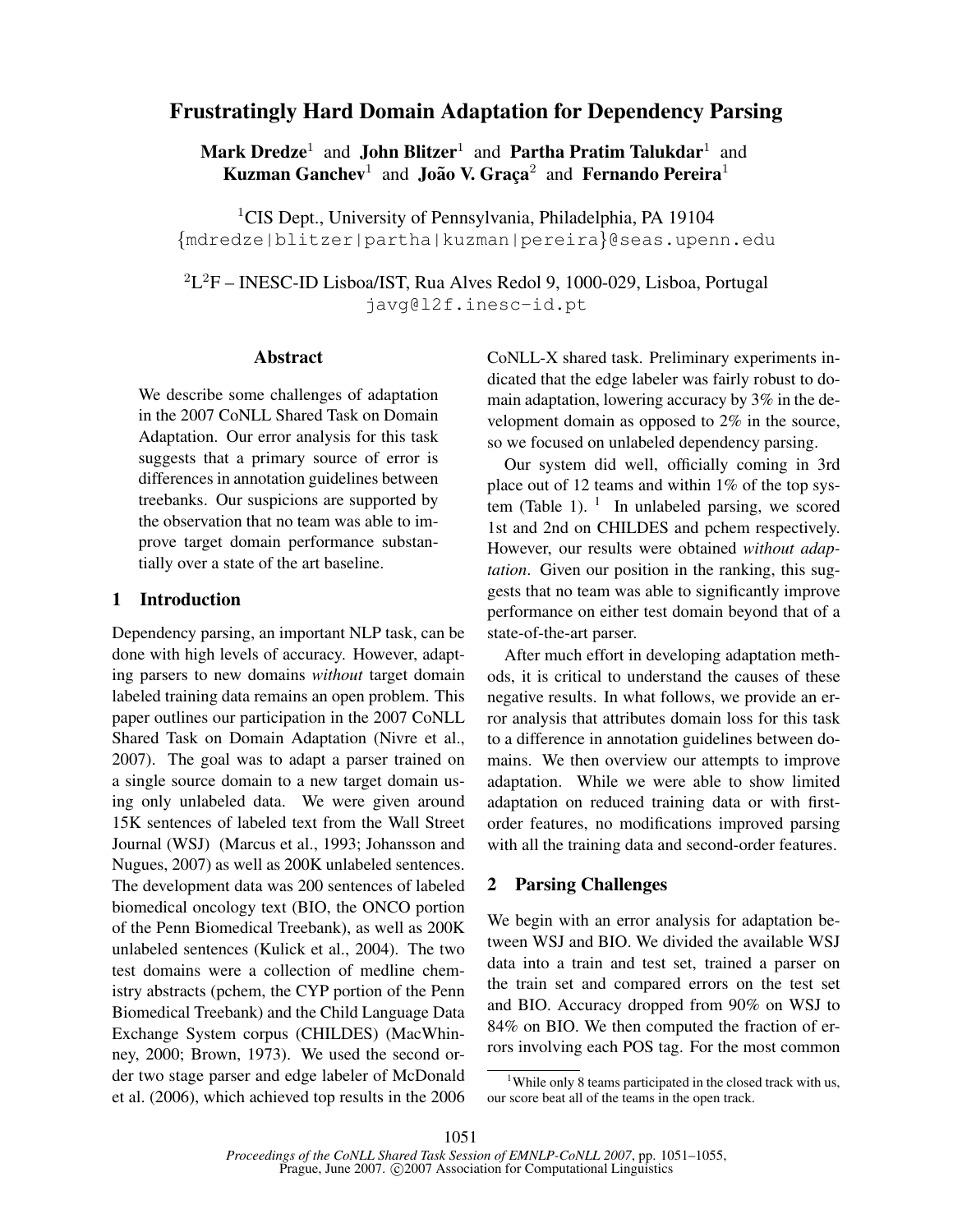# Frustratingly Hard Domain Adaptation for Dependency Parsing

Mark  $\bf{Dredze}^1$  and  $\bf{John Blitzer}^1$  and  $\bf{Partha}$   $\bf{Pratin}$   $\bf{Talukdar}^1$  and Kuzman Ganchev<sup>1</sup> and João V. Graça<sup>2</sup> and Fernando Pereira<sup>1</sup>

<sup>1</sup>CIS Dept., University of Pennsylvania, Philadelphia, PA 19104 {mdredze|blitzer|partha|kuzman|pereira}@seas.upenn.edu

 $^{2}$ L<sup>2</sup>F – INESC-ID Lisboa/IST, Rua Alves Redol 9, 1000-029, Lisboa, Portugal javg@l2f.inesc-id.pt

#### Abstract

We describe some challenges of adaptation in the 2007 CoNLL Shared Task on Domain Adaptation. Our error analysis for this task suggests that a primary source of error is differences in annotation guidelines between treebanks. Our suspicions are supported by the observation that no team was able to improve target domain performance substantially over a state of the art baseline.

# 1 Introduction

Dependency parsing, an important NLP task, can be done with high levels of accuracy. However, adapting parsers to new domains *without* target domain labeled training data remains an open problem. This paper outlines our participation in the 2007 CoNLL Shared Task on Domain Adaptation (Nivre et al., 2007). The goal was to adapt a parser trained on a single source domain to a new target domain using only unlabeled data. We were given around 15K sentences of labeled text from the Wall Street Journal (WSJ) (Marcus et al., 1993; Johansson and Nugues, 2007) as well as 200K unlabeled sentences. The development data was 200 sentences of labeled biomedical oncology text (BIO, the ONCO portion of the Penn Biomedical Treebank), as well as 200K unlabeled sentences (Kulick et al., 2004). The two test domains were a collection of medline chemistry abstracts (pchem, the CYP portion of the Penn Biomedical Treebank) and the Child Language Data Exchange System corpus (CHILDES) (MacWhinney, 2000; Brown, 1973). We used the second order two stage parser and edge labeler of McDonald et al. (2006), which achieved top results in the 2006 CoNLL-X shared task. Preliminary experiments indicated that the edge labeler was fairly robust to domain adaptation, lowering accuracy by 3% in the development domain as opposed to 2% in the source, so we focused on unlabeled dependency parsing.

Our system did well, officially coming in 3rd place out of 12 teams and within 1% of the top system (Table 1).  $\frac{1}{1}$  In unlabeled parsing, we scored 1st and 2nd on CHILDES and pchem respectively. However, our results were obtained *without adaptation*. Given our position in the ranking, this suggests that no team was able to significantly improve performance on either test domain beyond that of a state-of-the-art parser.

After much effort in developing adaptation methods, it is critical to understand the causes of these negative results. In what follows, we provide an error analysis that attributes domain loss for this task to a difference in annotation guidelines between domains. We then overview our attempts to improve adaptation. While we were able to show limited adaptation on reduced training data or with firstorder features, no modifications improved parsing with all the training data and second-order features.

# 2 Parsing Challenges

We begin with an error analysis for adaptation between WSJ and BIO. We divided the available WSJ data into a train and test set, trained a parser on the train set and compared errors on the test set and BIO. Accuracy dropped from 90% on WSJ to 84% on BIO. We then computed the fraction of errors involving each POS tag. For the most common

<sup>&</sup>lt;sup>1</sup>While only 8 teams participated in the closed track with us, our score beat all of the teams in the open track.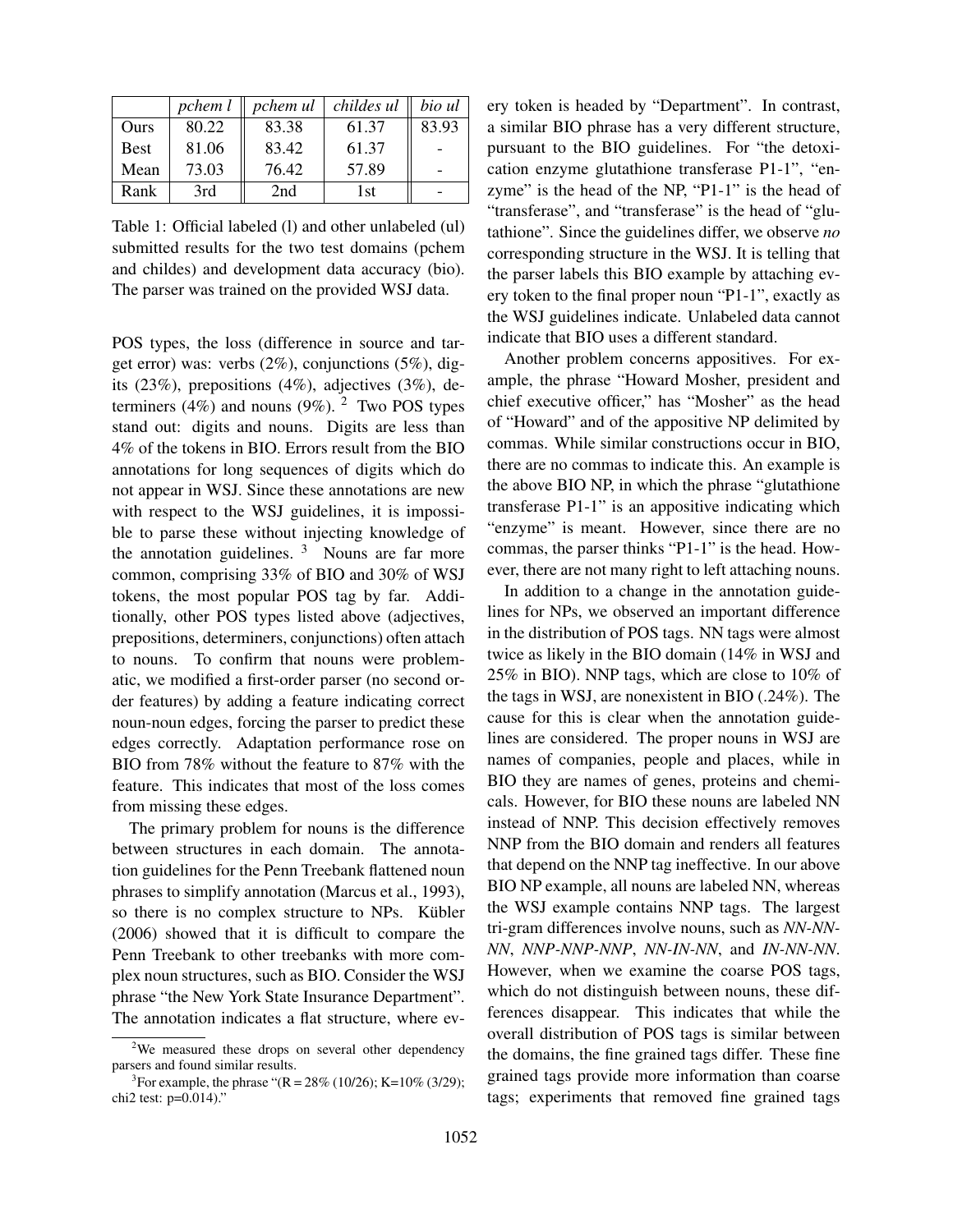|             | pchem l | pchem ul | childes ul | bio ul |
|-------------|---------|----------|------------|--------|
| Ours        | 80.22   | 83.38    | 61.37      | 83.93  |
| <b>Best</b> | 81.06   | 83.42    | 61.37      |        |
| Mean        | 73.03   | 76.42    | 57.89      |        |
| Rank        | 3rd     | 2nd      | 1st        |        |

Table 1: Official labeled (l) and other unlabeled (ul) submitted results for the two test domains (pchem and childes) and development data accuracy (bio). The parser was trained on the provided WSJ data.

POS types, the loss (difference in source and target error) was: verbs (2%), conjunctions (5%), digits (23%), prepositions (4%), adjectives (3%), determiners (4%) and nouns (9%). <sup>2</sup> Two POS types stand out: digits and nouns. Digits are less than 4% of the tokens in BIO. Errors result from the BIO annotations for long sequences of digits which do not appear in WSJ. Since these annotations are new with respect to the WSJ guidelines, it is impossible to parse these without injecting knowledge of the annotation guidelines.  $3$  Nouns are far more common, comprising 33% of BIO and 30% of WSJ tokens, the most popular POS tag by far. Additionally, other POS types listed above (adjectives, prepositions, determiners, conjunctions) often attach to nouns. To confirm that nouns were problematic, we modified a first-order parser (no second order features) by adding a feature indicating correct noun-noun edges, forcing the parser to predict these edges correctly. Adaptation performance rose on BIO from 78% without the feature to 87% with the feature. This indicates that most of the loss comes from missing these edges.

The primary problem for nouns is the difference between structures in each domain. The annotation guidelines for the Penn Treebank flattened noun phrases to simplify annotation (Marcus et al., 1993), so there is no complex structure to NPs. Kübler (2006) showed that it is difficult to compare the Penn Treebank to other treebanks with more complex noun structures, such as BIO. Consider the WSJ phrase "the New York State Insurance Department". The annotation indicates a flat structure, where every token is headed by "Department". In contrast, a similar BIO phrase has a very different structure, pursuant to the BIO guidelines. For "the detoxication enzyme glutathione transferase P1-1", "enzyme" is the head of the NP, "P1-1" is the head of "transferase", and "transferase" is the head of "glutathione". Since the guidelines differ, we observe *no* corresponding structure in the WSJ. It is telling that the parser labels this BIO example by attaching every token to the final proper noun "P1-1", exactly as the WSJ guidelines indicate. Unlabeled data cannot indicate that BIO uses a different standard.

Another problem concerns appositives. For example, the phrase "Howard Mosher, president and chief executive officer," has "Mosher" as the head of "Howard" and of the appositive NP delimited by commas. While similar constructions occur in BIO, there are no commas to indicate this. An example is the above BIO NP, in which the phrase "glutathione transferase P1-1" is an appositive indicating which "enzyme" is meant. However, since there are no commas, the parser thinks "P1-1" is the head. However, there are not many right to left attaching nouns.

In addition to a change in the annotation guidelines for NPs, we observed an important difference in the distribution of POS tags. NN tags were almost twice as likely in the BIO domain (14% in WSJ and 25% in BIO). NNP tags, which are close to 10% of the tags in WSJ, are nonexistent in BIO (.24%). The cause for this is clear when the annotation guidelines are considered. The proper nouns in WSJ are names of companies, people and places, while in BIO they are names of genes, proteins and chemicals. However, for BIO these nouns are labeled NN instead of NNP. This decision effectively removes NNP from the BIO domain and renders all features that depend on the NNP tag ineffective. In our above BIO NP example, all nouns are labeled NN, whereas the WSJ example contains NNP tags. The largest tri-gram differences involve nouns, such as *NN-NN-NN*, *NNP-NNP-NNP*, *NN-IN-NN*, and *IN-NN-NN*. However, when we examine the coarse POS tags, which do not distinguish between nouns, these differences disappear. This indicates that while the overall distribution of POS tags is similar between the domains, the fine grained tags differ. These fine grained tags provide more information than coarse tags; experiments that removed fine grained tags

<sup>&</sup>lt;sup>2</sup>We measured these drops on several other dependency parsers and found similar results.

<sup>&</sup>lt;sup>3</sup>For example, the phrase " $(R = 28\% (10/26); K = 10\% (3/29);$ chi2 test: p=0.014)."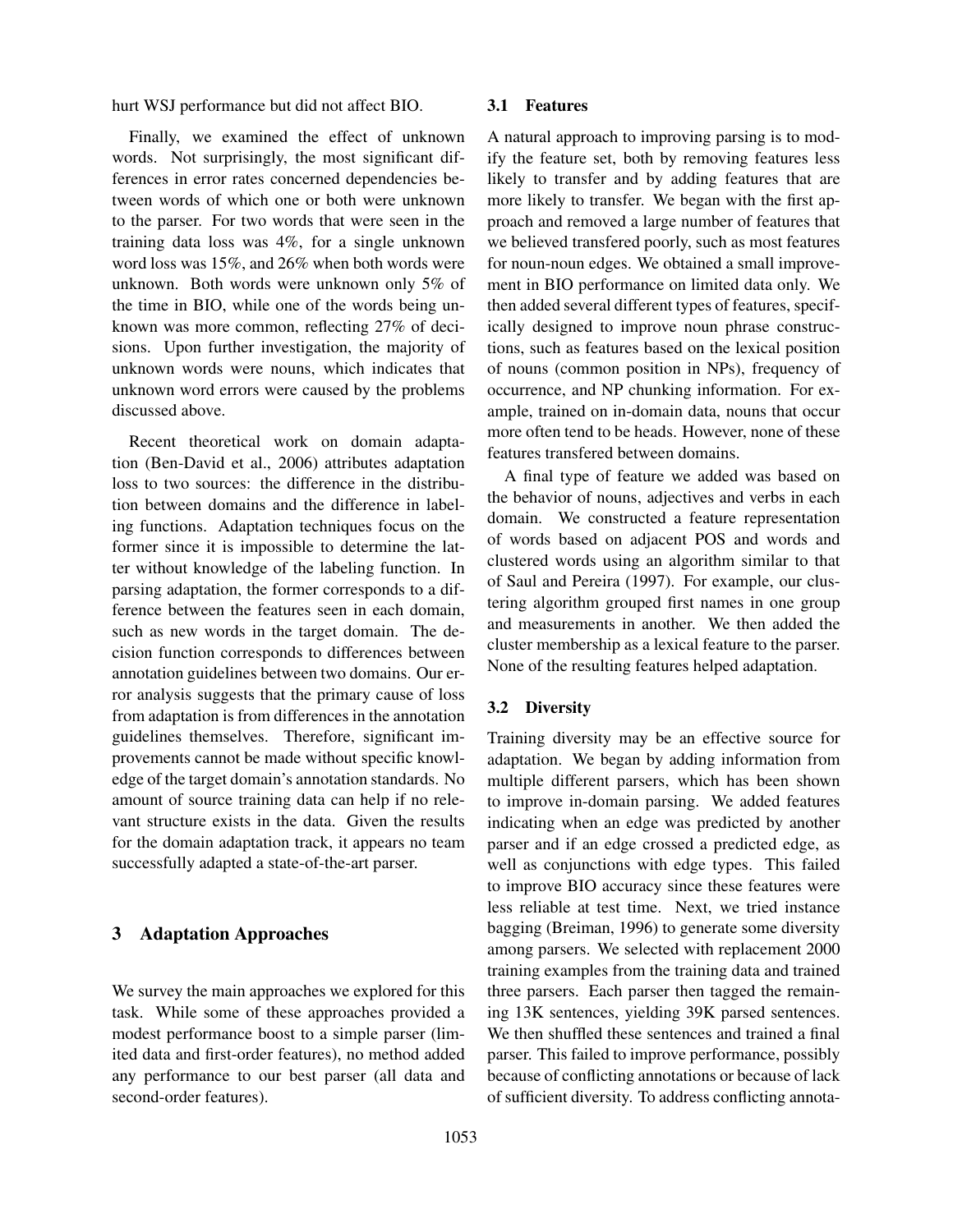hurt WSJ performance but did not affect BIO.

Finally, we examined the effect of unknown words. Not surprisingly, the most significant differences in error rates concerned dependencies between words of which one or both were unknown to the parser. For two words that were seen in the training data loss was 4%, for a single unknown word loss was 15%, and 26% when both words were unknown. Both words were unknown only 5% of the time in BIO, while one of the words being unknown was more common, reflecting 27% of decisions. Upon further investigation, the majority of unknown words were nouns, which indicates that unknown word errors were caused by the problems discussed above.

Recent theoretical work on domain adaptation (Ben-David et al., 2006) attributes adaptation loss to two sources: the difference in the distribution between domains and the difference in labeling functions. Adaptation techniques focus on the former since it is impossible to determine the latter without knowledge of the labeling function. In parsing adaptation, the former corresponds to a difference between the features seen in each domain, such as new words in the target domain. The decision function corresponds to differences between annotation guidelines between two domains. Our error analysis suggests that the primary cause of loss from adaptation is from differences in the annotation guidelines themselves. Therefore, significant improvements cannot be made without specific knowledge of the target domain's annotation standards. No amount of source training data can help if no relevant structure exists in the data. Given the results for the domain adaptation track, it appears no team successfully adapted a state-of-the-art parser.

## 3 Adaptation Approaches

We survey the main approaches we explored for this task. While some of these approaches provided a modest performance boost to a simple parser (limited data and first-order features), no method added any performance to our best parser (all data and second-order features).

#### 3.1 Features

A natural approach to improving parsing is to modify the feature set, both by removing features less likely to transfer and by adding features that are more likely to transfer. We began with the first approach and removed a large number of features that we believed transfered poorly, such as most features for noun-noun edges. We obtained a small improvement in BIO performance on limited data only. We then added several different types of features, specifically designed to improve noun phrase constructions, such as features based on the lexical position of nouns (common position in NPs), frequency of occurrence, and NP chunking information. For example, trained on in-domain data, nouns that occur more often tend to be heads. However, none of these features transfered between domains.

A final type of feature we added was based on the behavior of nouns, adjectives and verbs in each domain. We constructed a feature representation of words based on adjacent POS and words and clustered words using an algorithm similar to that of Saul and Pereira (1997). For example, our clustering algorithm grouped first names in one group and measurements in another. We then added the cluster membership as a lexical feature to the parser. None of the resulting features helped adaptation.

#### 3.2 Diversity

Training diversity may be an effective source for adaptation. We began by adding information from multiple different parsers, which has been shown to improve in-domain parsing. We added features indicating when an edge was predicted by another parser and if an edge crossed a predicted edge, as well as conjunctions with edge types. This failed to improve BIO accuracy since these features were less reliable at test time. Next, we tried instance bagging (Breiman, 1996) to generate some diversity among parsers. We selected with replacement 2000 training examples from the training data and trained three parsers. Each parser then tagged the remaining 13K sentences, yielding 39K parsed sentences. We then shuffled these sentences and trained a final parser. This failed to improve performance, possibly because of conflicting annotations or because of lack of sufficient diversity. To address conflicting annota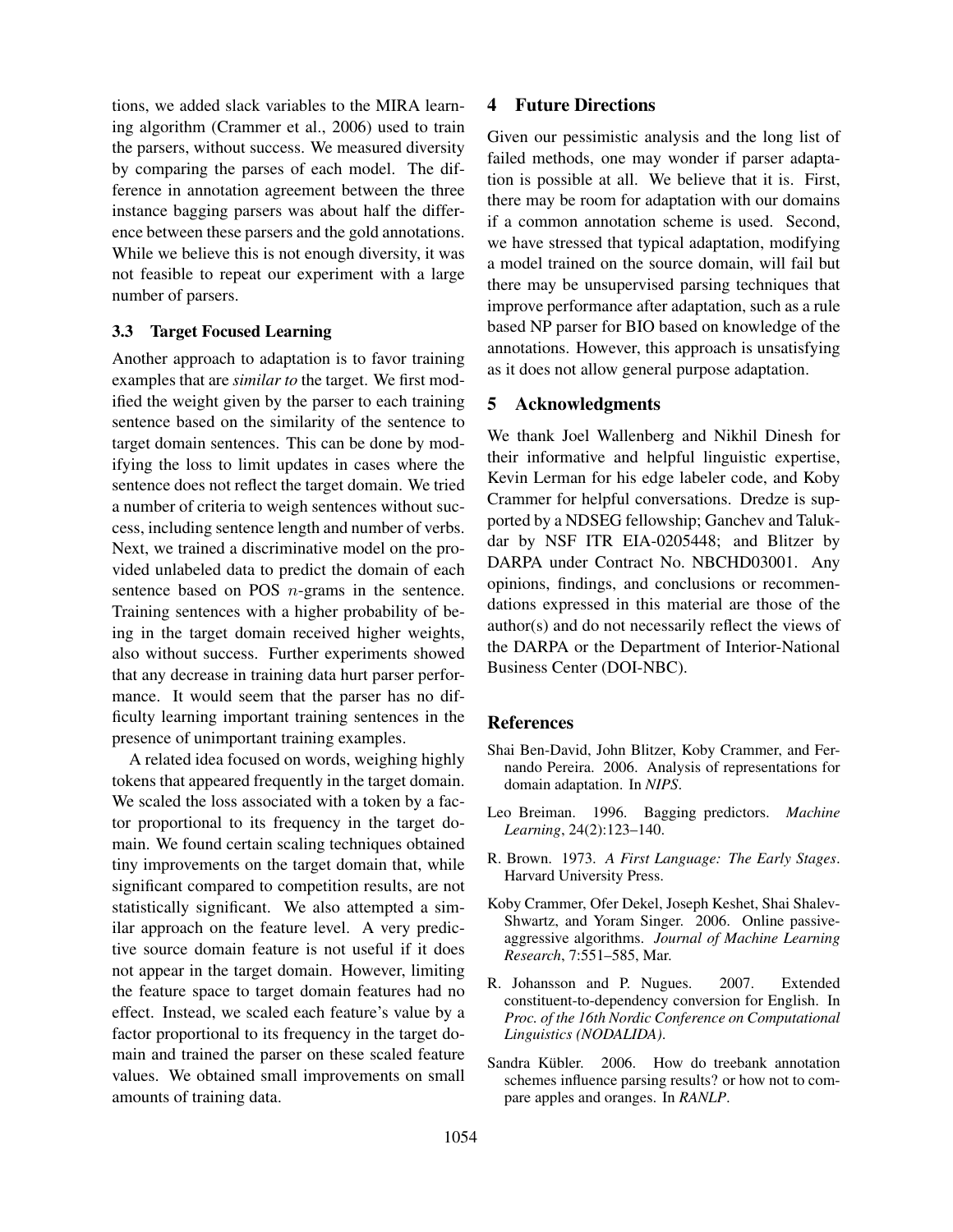tions, we added slack variables to the MIRA learning algorithm (Crammer et al., 2006) used to train the parsers, without success. We measured diversity by comparing the parses of each model. The difference in annotation agreement between the three instance bagging parsers was about half the difference between these parsers and the gold annotations. While we believe this is not enough diversity, it was not feasible to repeat our experiment with a large number of parsers.

## 3.3 Target Focused Learning

Another approach to adaptation is to favor training examples that are *similar to* the target. We first modified the weight given by the parser to each training sentence based on the similarity of the sentence to target domain sentences. This can be done by modifying the loss to limit updates in cases where the sentence does not reflect the target domain. We tried a number of criteria to weigh sentences without success, including sentence length and number of verbs. Next, we trained a discriminative model on the provided unlabeled data to predict the domain of each sentence based on POS *n*-grams in the sentence. Training sentences with a higher probability of being in the target domain received higher weights, also without success. Further experiments showed that any decrease in training data hurt parser performance. It would seem that the parser has no difficulty learning important training sentences in the presence of unimportant training examples.

A related idea focused on words, weighing highly tokens that appeared frequently in the target domain. We scaled the loss associated with a token by a factor proportional to its frequency in the target domain. We found certain scaling techniques obtained tiny improvements on the target domain that, while significant compared to competition results, are not statistically significant. We also attempted a similar approach on the feature level. A very predictive source domain feature is not useful if it does not appear in the target domain. However, limiting the feature space to target domain features had no effect. Instead, we scaled each feature's value by a factor proportional to its frequency in the target domain and trained the parser on these scaled feature values. We obtained small improvements on small amounts of training data.

## 4 Future Directions

Given our pessimistic analysis and the long list of failed methods, one may wonder if parser adaptation is possible at all. We believe that it is. First, there may be room for adaptation with our domains if a common annotation scheme is used. Second, we have stressed that typical adaptation, modifying a model trained on the source domain, will fail but there may be unsupervised parsing techniques that improve performance after adaptation, such as a rule based NP parser for BIO based on knowledge of the annotations. However, this approach is unsatisfying as it does not allow general purpose adaptation.

# 5 Acknowledgments

We thank Joel Wallenberg and Nikhil Dinesh for their informative and helpful linguistic expertise, Kevin Lerman for his edge labeler code, and Koby Crammer for helpful conversations. Dredze is supported by a NDSEG fellowship; Ganchev and Talukdar by NSF ITR EIA-0205448; and Blitzer by DARPA under Contract No. NBCHD03001. Any opinions, findings, and conclusions or recommendations expressed in this material are those of the author(s) and do not necessarily reflect the views of the DARPA or the Department of Interior-National Business Center (DOI-NBC).

#### References

- Shai Ben-David, John Blitzer, Koby Crammer, and Fernando Pereira. 2006. Analysis of representations for domain adaptation. In *NIPS*.
- Leo Breiman. 1996. Bagging predictors. *Machine Learning*, 24(2):123–140.
- R. Brown. 1973. *A First Language: The Early Stages*. Harvard University Press.
- Koby Crammer, Ofer Dekel, Joseph Keshet, Shai Shalev-Shwartz, and Yoram Singer. 2006. Online passiveaggressive algorithms. *Journal of Machine Learning Research*, 7:551–585, Mar.
- R. Johansson and P. Nugues. 2007. Extended constituent-to-dependency conversion for English. In *Proc. of the 16th Nordic Conference on Computational Linguistics (NODALIDA)*.
- Sandra Kübler. 2006. How do treebank annotation schemes influence parsing results? or how not to compare apples and oranges. In *RANLP*.